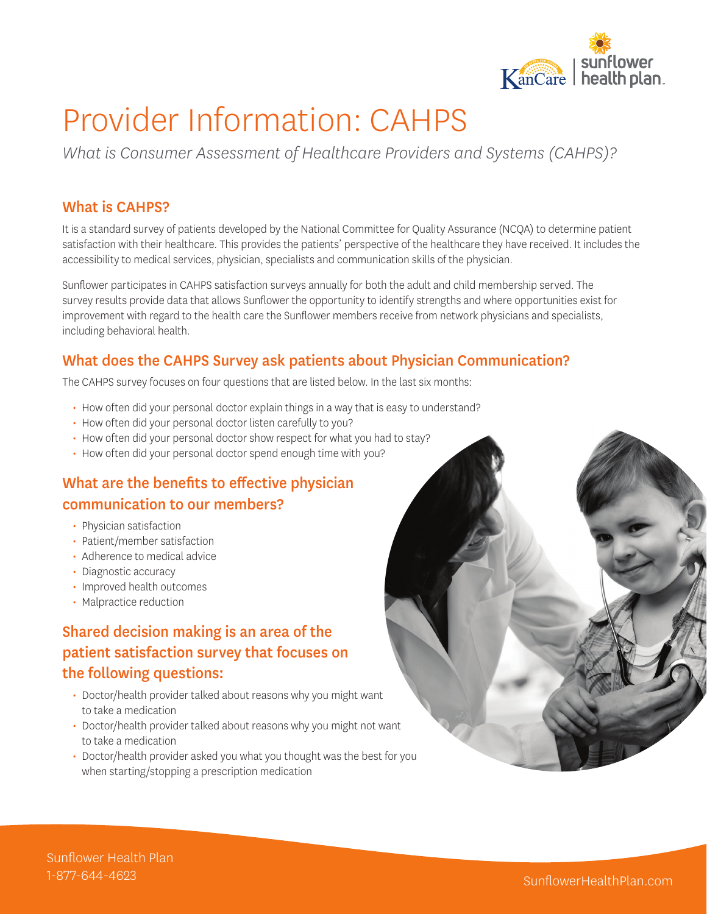

# Provider Information: CAHPS

*What is Consumer Assessment of Healthcare Providers and Systems (CAHPS)?*

#### What is CAHPS?

It is a standard survey of patients developed by the National Committee for Quality Assurance (NCQA) to determine patient satisfaction with their healthcare. This provides the patients' perspective of the healthcare they have received. It includes the accessibility to medical services, physician, specialists and communication skills of the physician.

Sunflower participates in CAHPS satisfaction surveys annually for both the adult and child membership served. The survey results provide data that allows Sunflower the opportunity to identify strengths and where opportunities exist for improvement with regard to the health care the Sunflower members receive from network physicians and specialists, including behavioral health.

#### What does the CAHPS Survey ask patients about Physician Communication?

The CAHPS survey focuses on four questions that are listed below. In the last six months:

- **·** How often did your personal doctor explain things in a way that is easy to understand?
- **·** How often did your personal doctor listen carefully to you?
- **·** How often did your personal doctor show respect for what you had to stay?
- **·** How often did your personal doctor spend enough time with you?

#### What are the benefits to effective physician communication to our members?

- **·** Physician satisfaction
- **·** Patient/member satisfaction
- **·** Adherence to medical advice
- **·** Diagnostic accuracy
- **·** Improved health outcomes
- **·** Malpractice reduction

# Shared decision making is an area of the patient satisfaction survey that focuses on the following questions:

- **·** Doctor/health provider talked about reasons why you might want to take a medication
- **·** Doctor/health provider talked about reasons why you might not want to take a medication
- **·** Doctor/health provider asked you what you thought was the best for you when starting/stopping a prescription medication

Sunflower Health Plan 1-877-644-4623 SunflowerHealthPlan.com